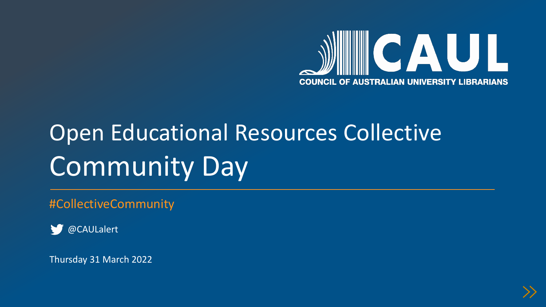

# Open Educational Resources Collective Community Day

#CollectiveCommunity

@CAULalert

Thursday 31 March 2022

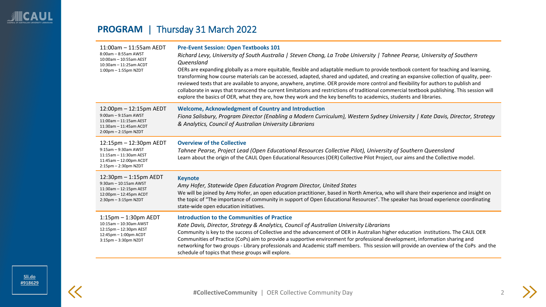# <span id="page-1-0"></span>**PROGRAM** | Thursday 31 March 2022

| 11:00am - 11:55am AEDT<br>8:00am - 8:55am AWST<br>10:00am - 10:55am AEST<br>10:30am - 11:25am ACDT<br>$1:00$ pm $-1:55$ pm NZDT      | <b>Pre-Event Session: Open Textbooks 101</b><br>Richard Levy, University of South Australia   Steven Chang, La Trobe University   Tahnee Pearse, University of Southern<br><b>Oueensland</b><br>OERs are expanding globally as a more equitable, flexible and adaptable medium to provide textbook content for teaching and learning,<br>transforming how course materials can be accessed, adapted, shared and updated, and creating an expansive collection of quality, peer-<br>reviewed texts that are available to anyone, anywhere, anytime. OER provide more control and flexibility for authors to publish and<br>collaborate in ways that transcend the current limitations and restrictions of traditional commercial textbook publishing. This session will<br>explore the basics of OER, what they are, how they work and the key benefits to academics, students and libraries. |
|--------------------------------------------------------------------------------------------------------------------------------------|----------------------------------------------------------------------------------------------------------------------------------------------------------------------------------------------------------------------------------------------------------------------------------------------------------------------------------------------------------------------------------------------------------------------------------------------------------------------------------------------------------------------------------------------------------------------------------------------------------------------------------------------------------------------------------------------------------------------------------------------------------------------------------------------------------------------------------------------------------------------------------------------|
| 12:00pm - 12:15pm AEDT<br>$9:00$ am $-9:15$ am AWST<br>11:00am - 11:15am AEST<br>11:30am - 11:45am ACDT<br>$2:00$ pm $-2:15$ pm NZDT | <b>Welcome, Acknowledgment of Country and Introduction</b><br>Fiona Salisbury, Program Director (Enabling a Modern Curriculum), Western Sydney University   Kate Davis, Director, Strategy<br>& Analytics, Council of Australian University Librarians                                                                                                                                                                                                                                                                                                                                                                                                                                                                                                                                                                                                                                       |
| 12:15pm - 12:30pm AEDT<br>9:15am - 9:30am AWST<br>11:15am - 11:30am AEST<br>11:45am - 12:00pm ACDT<br>$2:15$ pm $-2:30$ pm NZDT      | <b>Overview of the Collective</b><br>Tahnee Pearse, Project Lead (Open Educational Resources Collective Pilot), University of Southern Queensland<br>Learn about the origin of the CAUL Open Educational Resources (OER) Collective Pilot Project, our aims and the Collective model.                                                                                                                                                                                                                                                                                                                                                                                                                                                                                                                                                                                                        |
| 12:30pm - 1:15pm AEDT<br>9:30am - 10:15am AWST<br>11:30am - 12:15pm AEST<br>12:00pm - 12:45pm ACDT<br>2:30pm - 3:15pm NZDT           | <b>Keynote</b><br>Amy Hofer, Statewide Open Education Program Director, United States<br>We will be joined by Amy Hofer, an open education practitioner, based in North America, who will share their experience and insight on<br>the topic of "The importance of community in support of Open Educational Resources". The speaker has broad experience coordinating<br>state-wide open education initiatives.                                                                                                                                                                                                                                                                                                                                                                                                                                                                              |
| $1:15$ pm $-1:30$ pm AEDT<br>10:15am - 10:30am AWST<br>12:15pm - 12:30pm AEST<br>12:45pm - 1:00pm ACDT<br>$3:15$ pm $-3:30$ pm NZDT  | <b>Introduction to the Communities of Practice</b><br>Kate Davis, Director, Strategy & Analytics, Council of Australian University Librarians<br>Community is key to the success of Collective and the advancement of OER in Australian higher education institutions. The CAUL OER<br>Communities of Practice (CoPs) aim to provide a supportive environment for professional development, information sharing and<br>networking for two groups - Library professionals and Academic staff members. This session will provide an overview of the CoPs and the<br>schedule of topics that these groups will explore.                                                                                                                                                                                                                                                                         |

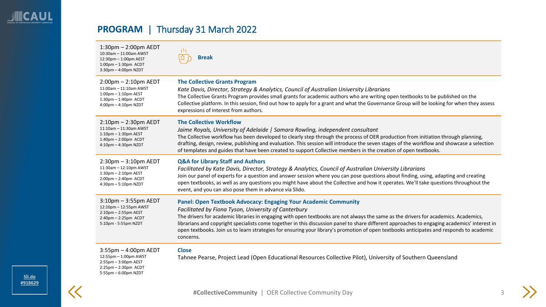# **PROGRAM** | Thursday 31 March 2022

| $1:30$ pm $- 2:00$ pm AEDT<br>10:30am - 11:00am AWST<br>12:30pm - 1:00pm AEST<br>$1:00$ pm $-1:30$ pm ACDT<br>3:30pm - 4:00pm NZDT    | 38<br><b>Break</b>                                                                                                                                                                                                                                                                                                                                                                                                                                                                                                                                                             |
|---------------------------------------------------------------------------------------------------------------------------------------|--------------------------------------------------------------------------------------------------------------------------------------------------------------------------------------------------------------------------------------------------------------------------------------------------------------------------------------------------------------------------------------------------------------------------------------------------------------------------------------------------------------------------------------------------------------------------------|
| $2:00$ pm $- 2:10$ pm AEDT                                                                                                            | <b>The Collective Grants Program</b>                                                                                                                                                                                                                                                                                                                                                                                                                                                                                                                                           |
| 11:00am - 11:10am AWST                                                                                                                | Kate Davis, Director, Strategy & Analytics, Council of Australian University Librarians                                                                                                                                                                                                                                                                                                                                                                                                                                                                                        |
| 1:00pm - 1:10pm AEST                                                                                                                  | The Collective Grants Program provides small grants for academic authors who are writing open textbooks to be published on the                                                                                                                                                                                                                                                                                                                                                                                                                                                 |
| $1:30$ pm $-1:40$ pm ACDT                                                                                                             | Collective platform. In this session, find out how to apply for a grant and what the Governance Group will be looking for when they assess                                                                                                                                                                                                                                                                                                                                                                                                                                     |
| $4:00$ pm $-4:10$ pm NZDT                                                                                                             | expressions of interest from authors.                                                                                                                                                                                                                                                                                                                                                                                                                                                                                                                                          |
| $2:10$ pm $-2:30$ pm AEDT                                                                                                             | <b>The Collective Workflow</b>                                                                                                                                                                                                                                                                                                                                                                                                                                                                                                                                                 |
| 11:10am - 11:30am AWST                                                                                                                | Jaime Royals, University of Adelaide   Samara Rowling, independent consultant                                                                                                                                                                                                                                                                                                                                                                                                                                                                                                  |
| $1:10$ pm $-1:30$ pm AEST                                                                                                             | The Collective workflow has been developed to clearly step through the process of OER production from initiation through planning,                                                                                                                                                                                                                                                                                                                                                                                                                                             |
| $1:40$ pm $-2:00$ pm ACDT                                                                                                             | drafting, design, review, publishing and evaluation. This session will introduce the seven stages of the workflow and showcase a selection                                                                                                                                                                                                                                                                                                                                                                                                                                     |
| 4:10pm - 4:30pm NZDT                                                                                                                  | of templates and guides that have been created to support Collective members in the creation of open textbooks.                                                                                                                                                                                                                                                                                                                                                                                                                                                                |
| $2:30$ pm $-3:10$ pm AEDT                                                                                                             | <b>Q&amp;A for Library Staff and Authors</b>                                                                                                                                                                                                                                                                                                                                                                                                                                                                                                                                   |
| 11:30am - 12:10pm AWST                                                                                                                | Facilitated by Kate Davis, Director, Strategy & Analytics, Council of Australian University Librarians                                                                                                                                                                                                                                                                                                                                                                                                                                                                         |
| $1:30$ pm $-2:10$ pm AEST                                                                                                             | Join our panel of experts for a question and answer session where you can pose questions about finding, using, adapting and creating                                                                                                                                                                                                                                                                                                                                                                                                                                           |
| $2:00$ pm $- 2:40$ pm ACDT                                                                                                            | open textbooks, as well as any questions you might have about the Collective and how it operates. We'll take questions throughout the                                                                                                                                                                                                                                                                                                                                                                                                                                          |
| 4:30pm - 5:10pm NZDT                                                                                                                  | event, and you can also pose them in advance via Slido.                                                                                                                                                                                                                                                                                                                                                                                                                                                                                                                        |
| $3:10$ pm $-3:55$ pm AEDT<br>12:10pm - 12:55pm AWST<br>$2:10$ pm $-2:55$ pm AEST<br>$2:40$ pm $-2:25$ pm ACDT<br>5:10pm - 5:55pm NZDT | <b>Panel: Open Textbook Advocacy: Engaging Your Academic Community</b><br>Facilitated by Fiona Tyson, University of Canterbury<br>The drivers for academic libraries in engaging with open textbooks are not always the same as the drivers for academics. Academics,<br>librarians and copyright specialists come together in this discussion panel to share different approaches to engaging academics' interest in<br>open textbooks. Join us to learn strategies for ensuring your library's promotion of open textbooks anticipates and responds to academic<br>concerns. |
| $3:55$ pm $-4:00$ pm AEDT<br>12:55pm - 1:00pm AWST<br>$2:55$ pm $-3:00$ pm AEST<br>$2:25$ pm $-2:30$ pm ACDT<br>5:55pm - 6:00pm NZDT  | <b>Close</b><br>Tahnee Pearse, Project Lead (Open Educational Resources Collective Pilot), University of Southern Queensland                                                                                                                                                                                                                                                                                                                                                                                                                                                   |

 $\ll$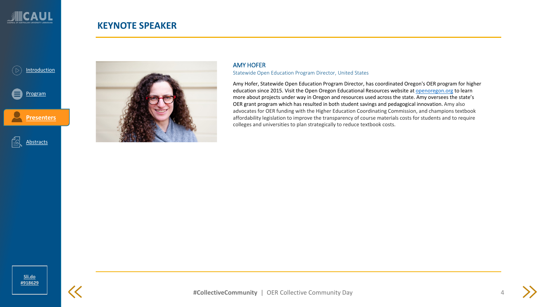<span id="page-3-0"></span>

### **KEYNOTE SPEAKER**





### AMY HOFER Statewide Open Education Program Director, United States

Amy Hofer, Statewide Open Education Program Director, has coordinated Oregon's OER program for higher education since 2015. Visit the Open Oregon Educational Resources website at [openoregon.org](http://secure-web.cisco.com/1QkAcytVyGGoGi9YgFPJS19zd25ug-LIASbtRPHbpz2P823R8v8eismCnx6-Eu8KZtRbPUV4QPeO-UCzDo71KeUqVKXFZYZj9iRl2F15h-hNhCj4zPIJwW1rs0EsrRGAzxWHxcujtsh2N-uWGMrtVWB_d9iveiDmGZsuTAQYpyK1fNcjatSLCzL1ugIvGzH95ytRz0NAXxBhkQffLzgf9AaXKd56trV96Zedk-q9DppP-5psnoqMZ2ft65BcQpPoQHwiCFU7XUf2psURMHpmcq4H88VjEJOo0JY1iWYKxJ0_SxaJ3uPfAm5pHc1ce2AwZhVtZV51iCe4poQXifmdlgHSh0RE_aM3ZStjptu-BsKsfqHLMKJvdNNee3Ibayu4Fa4XnE8ve2NJbkCRHKgWeh1CAEAMMu9F19Sxjf-BwcTN77E63OSJiQT-Chq4rcheK/http%3A%2F%2Fopenoregon.org) to learn more about projects under way in Oregon and resources used across the state. Amy oversees the state's OER grant program which has resulted in both student savings and pedagogical innovation. Amy also advocates for OER funding with the Higher Education Coordinating Commission, and champions textbook affordability legislation to improve the transparency of course materials costs for students and to require colleges and universities to plan strategically to reduce textbook costs.

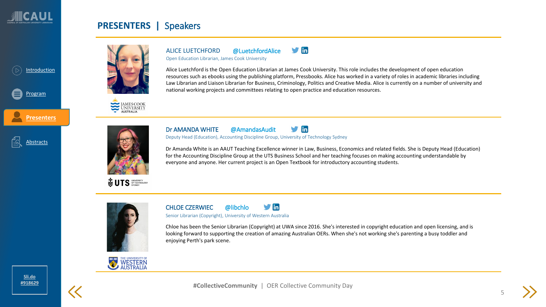

**[Presenters](#page-3-0)**

Abstracts

[Program](#page-1-0)

### **PRESENTERS |** Speakers



JAMES COOK<br>UNIVERSITY





in Dr AMANDA WHITE @AmandasAudit

Deputy Head (Education), Accounting Discipline Group, University of Technology Sydney

national working projects and committees relating to open practice and education resources.

Dr Amanda White is an AAUT Teaching Excellence winner in Law, Business, Economics and related fields. She is Deputy Head (Education) for the Accounting Discipline Group at the UTS Business School and her teaching focuses on making accounting understandable by everyone and anyone. Her current project is an Open Textbook for introductory accounting students.

Alice Luetchford is the Open Education Librarian at James Cook University. This role includes the development of open education resources such as ebooks using the publishing platform, Pressbooks. Alice has worked in a variety of roles in academic libraries including Law Librarian and Liaison Librarian for Business, Criminology, Politics and Creative Media. Alice is currently on a number of university and

 $\blacksquare$ 



 $\blacksquare$ CHLOE CZERWIEC @libchlo

ALICE LUETCHFORD @LuetchfordAlice Open Education Librarian, James Cook University

Senior Librarian (Copyright), University of Western Australia

Chloe has been the Senior Librarian (Copyright) at UWA since 2016. She's interested in copyright education and open licensing, and is looking forward to supporting the creation of amazing Australian OERs. When she's not working she's parenting a busy toddler and enjoying Perth's park scene.



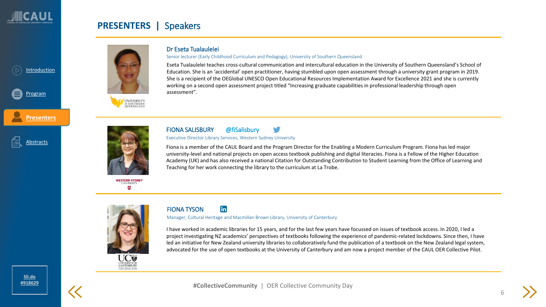[Program](#page-1-0)

**[Presenters](#page-3-0)**

Abstracts

## **PRESENTERS |** Speakers







**WESTERN SYDNEY** W

### Dr Eseta Tualaulelei

### Senior lecturer (Early Childhood Curriculum and Pedagogy), University of Southern Queensland

Eseta Tualaulelei teaches cross-cultural communication and intercultural education in the University of Southern Queensland's School of Education. She is an 'accidental' open practitioner, having stumbled upon open assessment through a university grant program in 2019. She is a recipient of the OEGlobal UNESCO Open Educational Resources Implementation Award for Excellence 2021 and she is currently working on a second open assessment project titled "Increasing graduate capabilities in professional leadership through open assessment".



FIONA SALISBURY @fiSalisbury Executive Director Library Services, Western Sydney University

Fiona is a member of the CAUL Board and the Program Director for the Enabling a Modern Curriculum Program. Fiona has led major university-level and national projects on open access textbook publishing and digital literacies. Fiona is a Fellow of the Higher Education Academy (UK) and has also received a national Citation for Outstanding Contribution to Student Learning from the Office of Learning and Teaching for her work connecting the library to the curriculum at La Trobe.





#### in FIONA TYSON

Manager, Cultural Heritage and Macmillan Brown Library, University of Canterbury

I have worked in academic libraries for 15 years, and for the last few years have focussed on issues of textbook access. In 2020, I led a project investigating NZ academics' perspectives of textbooks following the experience of pandemic-related lockdowns. Since then, I have led an initiative for New Zealand university libraries to collaboratively fund the publication of a textbook on the New Zealand legal system, advocated for the use of open textbooks at the University of Canterbury and am now a project member of the CAUL OER Collective Pilot.

6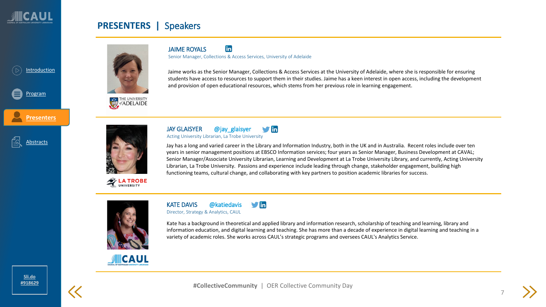

**[Presenters](#page-3-0)**

Abstracts

[Program](#page-1-0)

### **PRESENTERS |** Speakers

JAIME ROYALS



Jaime works as the Senior Manager, Collections & Access Services at the University of Adelaide, where she is responsible for ensuring students have access to resources to support them in their studies. Jaime has a keen interest in open access, including the development

and provision of open educational resources, which stems from her previous role in learning engagement.





**EX LA TROBE** 

#### JAY GLAISYER @jay\_glaisyer  $\blacksquare$ Acting University Librarian, La Trobe University

Senior Manager, Collections & Access Services, University of Adelaide

in

Jay has a long and varied career in the Library and Information Industry, both in the UK and in Australia. Recent roles include over ten years in senior management positions at EBSCO Information services; four years as Senior Manager, Business Development at CAVAL; Senior Manager/Associate University Librarian, Learning and Development at La Trobe University Library, and currently, Acting University Librarian, La Trobe University. Passions and experience include leading through change, stakeholder engagement, building high functioning teams, cultural change, and collaborating with key partners to position academic libraries for success.



#### $\blacksquare$ KATE DAVIS @katiedavis

Director, Strategy & Analytics, CAUL

Kate has a background in theoretical and applied library and information research, scholarship of teaching and learning, library and information education, and digital learning and teaching. She has more than a decade of experience in digital learning and teaching in a variety of academic roles. She works across CAUL's strategic programs and oversees CAUL's Analytics Service.

**SECAUL** 

**[Sli.do](https://app.sli.do/event/uj0mwr2z/live/questions)  [#918629](https://www.sli.do/)**



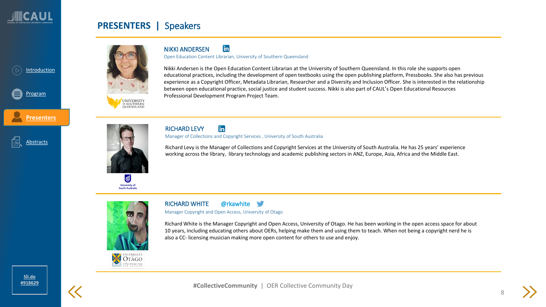

**[Presenters](#page-3-0)**

Abstracts

[Program](#page-1-0)

### **PRESENTERS |** Speakers



in NIKKI ANDERSEN

Open Education Content Librarian, University of Southern Queensland

Nikki Andersen is the Open Education Content Librarian at the University of Southern Queensland. In this role she supports open educational practices, including the development of open textbooks using the open publishing platform, Pressbooks. She also has previous experience as a Copyright Officer, Metadata Librarian, Researcher and a Diversity and Inclusion Officer. She is interested in the relationship between open educational practice, social justice and student success. Nikki is also part of CAUL's Open Educational Resources Professional Development Program Project Team.



**University of South Australia**  RICHARD LEVY in

Manager of Collections and Copyright Services , University of South Australia

Richard Levy is the Manager of Collections and Copyright Services at the University of South Australia. He has 25 years' experience working across the library, library technology and academic publishing sectors in ANZ, Europe, Asia, Africa and the Middle East.



RICHARD WHITE @rkawhite

Manager Copyright and Open Access, University of Otago

Richard White is the Manager Copyright and Open Access, University of Otago. He has been working in the open access space for about 10 years, including educating others about OERs, helping make them and using them to teach. When not being a copyright nerd he is also a CC- licensing musician making more open content for others to use and enjoy.







8